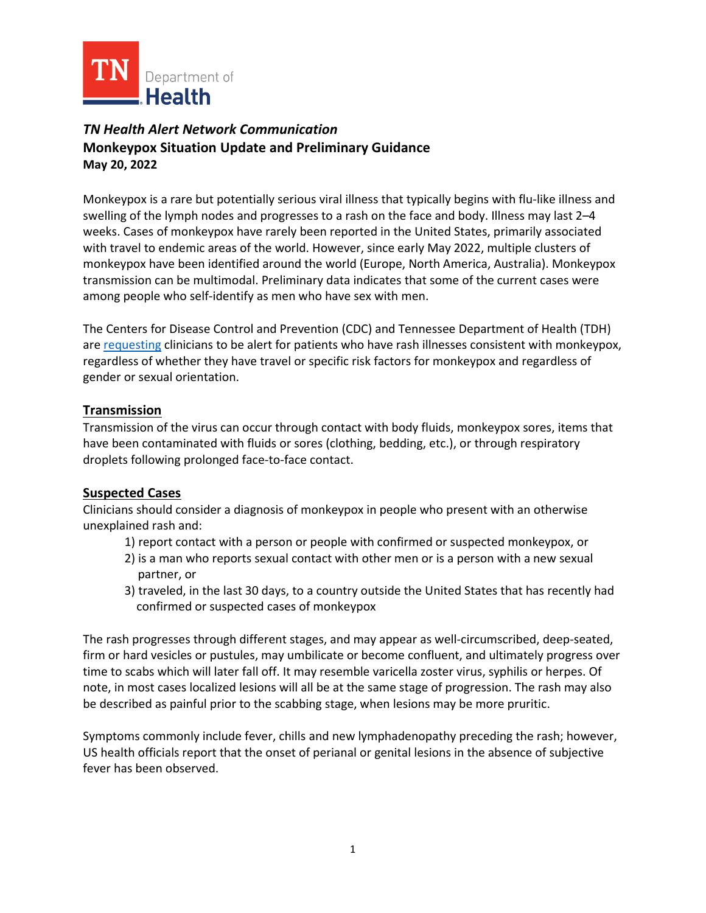

## *TN Health Alert Network Communication*  **Monkeypox Situation Update and Preliminary Guidance May 20, 2022**

Monkeypox is a rare but potentially serious viral illness that typically begins with flu-like illness and swelling of the lymph nodes and progresses to a rash on the face and body. Illness may last 2–4 weeks. Cases of monkeypox have rarely been reported in the United States, primarily associated with travel to endemic areas of the world. However, since early May 2022, multiple clusters of monkeypox have been identified around the world (Europe, North America, Australia). Monkeypox transmission can be multimodal. Preliminary data indicates that some of the current cases were among people who self-identify as men who have sex with men. 

The Centers for Disease Control and Prevention (CDC) and Tennessee Department of Health (TDH) are [requesting](https://www.cdc.gov/poxvirus/monkeypox/outbreak/current.html) clinicians to be alert for patients who have rash illnesses consistent with monkeypox, regardless of whether they have travel or specific risk factors for monkeypox and regardless of gender or sexual orientation.

### **Transmission**

Transmission of the virus can occur through contact with body fluids, monkeypox sores, items that have been contaminated with fluids or sores (clothing, bedding, etc.), or through respiratory droplets following prolonged face-to-face contact.

## **Suspected Cases**

Clinicians should consider a diagnosis of monkeypox in people who present with an otherwise unexplained rash and:

- 1) report contact with a person or people with confirmed or suspected monkeypox, or
- 2) is a man who reports sexual contact with other men or is a person with a new sexual partner, or
- 3) traveled, in the last 30 days, to a country outside the United States that has recently had confirmed or suspected cases of monkeypox

The rash progresses through different stages, and may appear as well-circumscribed, deep-seated, firm or hard vesicles or pustules, may umbilicate or become confluent, and ultimately progress over time to scabs which will later fall off. It may resemble varicella zoster virus, syphilis or herpes. Of note, in most cases localized lesions will all be at the same stage of progression. The rash may also be described as painful prior to the scabbing stage, when lesions may be more pruritic.

Symptoms commonly include fever, chills and new lymphadenopathy preceding the rash; however, US health officials report that the onset of perianal or genital lesions in the absence of subjective fever has been observed.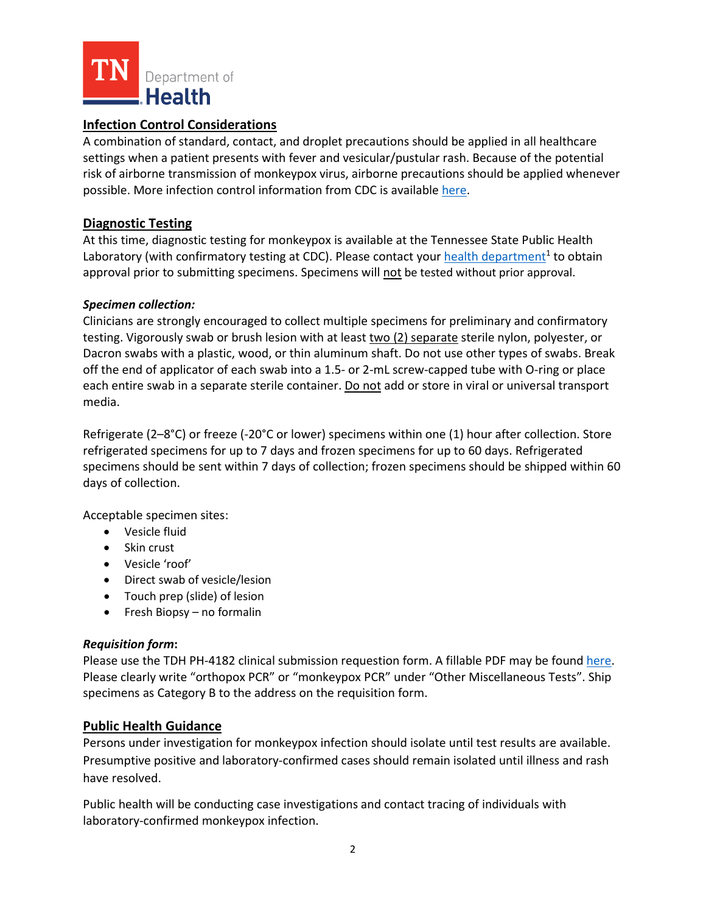

## **Infection Control Considerations**

A combination of standard, contact, and droplet precautions should be applied in all healthcare settings when a patient presents with fever and vesicular/pustular rash. Because of the potential risk of airborne transmission of monkeypox virus, airborne precautions should be applied whenever possible. More infection control information from CDC is available [here.](https://www.cdc.gov/poxvirus/monkeypox/clinicians/infection-control-hospital.html)

#### **Diagnostic Testing**

At this time, diagnostic testing for monkeypox is available at the Tennessee State Public Health Laboratory (with confirmatory testing at CDC). Please contact your health department<sup>1</sup> to obtain approval prior to submitting specimens. Specimens will not be tested without prior approval.

#### *Specimen collection:*

Clinicians are strongly encouraged to collect multiple specimens for preliminary and confirmatory testing. Vigorously swab or brush lesion with at least two (2) separate sterile nylon, polyester, or Dacron swabs with a plastic, wood, or thin aluminum shaft. Do not use other types of swabs. Break off the end of applicator of each swab into a 1.5- or 2-mL screw-capped tube with O-ring or place each entire swab in a separate sterile container. Do not add or store in viral or universal transport media.

Refrigerate (2–8°C) or freeze (-20°C or lower) specimens within one (1) hour after collection. Store refrigerated specimens for up to 7 days and frozen specimens for up to 60 days. Refrigerated specimens should be sent within 7 days of collection; frozen specimens should be shipped within 60 days of collection.

Acceptable specimen sites:

- Vesicle fluid
- Skin crust
- Vesicle 'roof'
- Direct swab of vesicle/lesion
- Touch prep (slide) of lesion
- Fresh Biopsy no formalin

#### *Requisition form***:**

Please use the TDH PH-4182 clinical submission requestion form. A fillable PDF may be foun[d here.](https://www.tn.gov/content/dam/tn/health/program-areas/lab/requisitions/PH-4182_Clinical_Submission_Requisition_rev_9-21.pdf) Please clearly write "orthopox PCR" or "monkeypox PCR" under "Other Miscellaneous Tests". Ship specimens as Category B to the address on the requisition form.

#### **Public Health Guidance**

Persons under investigation for monkeypox infection should isolate until test results are available. Presumptive positive and laboratory-confirmed cases should remain isolated until illness and rash have resolved.

Public health will be conducting case investigations and contact tracing of individuals with laboratory-confirmed monkeypox infection.